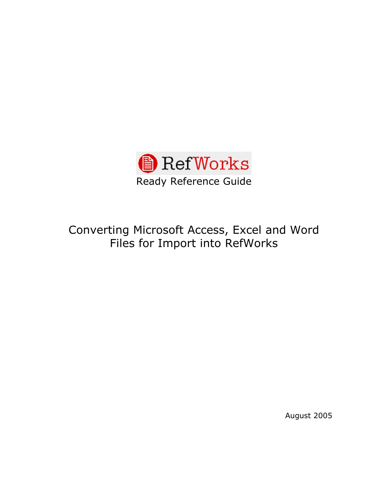

# Converting Microsoft Access, Excel and Word Files for Import into RefWorks

August 2005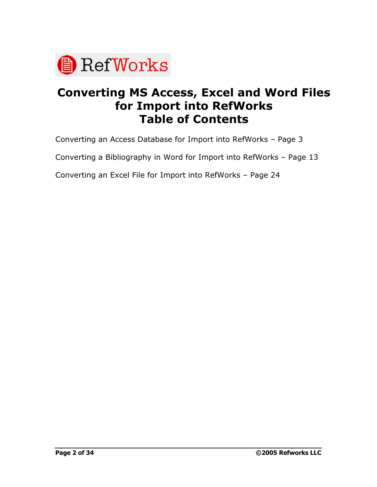

# **Converting MS Access, Excel and Word Files for Import into RefWorks Table of Contents**

Converting an Access Database for Import into RefWorks - Page 3

Converting a Bibliography in Word for Import into RefWorks - Page 13

Converting an Excel File for Import into RefWorks - Page 24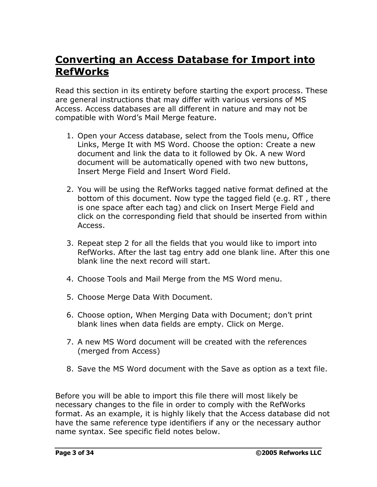## **Converting an Access Database for Import into RefWorks**

Read this section in its entirety before starting the export process. These are general instructions that may differ with various versions of MS Access. Access databases are all different in nature and may not be compatible with Word's Mail Merge feature.

- 1. Open your Access database, select from the Tools menu, Office Links, Merge It with MS Word. Choose the option: Create a new document and link the data to it followed by Ok. A new Word document will be automatically opened with two new buttons, Insert Merge Field and Insert Word Field.
- 2. You will be using the RefWorks tagged native format defined at the bottom of this document. Now type the tagged field (e.g. RT , there is one space after each tag) and click on Insert Merge Field and click on the corresponding field that should be inserted from within Access.
- 3. Repeat step 2 for all the fields that you would like to import into RefWorks. After the last tag entry add one blank line. After this one blank line the next record will start.
- 4. Choose Tools and Mail Merge from the MS Word menu.
- 5. Choose Merge Data With Document.
- 6. Choose option, When Merging Data with Document; donít print blank lines when data fields are empty. Click on Merge.
- 7. A new MS Word document will be created with the references (merged from Access)
- 8. Save the MS Word document with the Save as option as a text file.

Before you will be able to import this file there will most likely be necessary changes to the file in order to comply with the RefWorks format. As an example, it is highly likely that the Access database did not have the same reference type identifiers if any or the necessary author name syntax. See specific field notes below.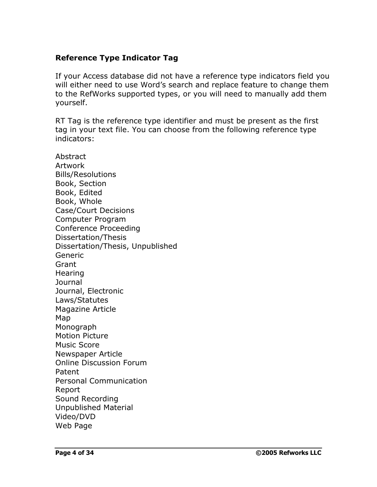#### **Reference Type Indicator Tag**

If your Access database did not have a reference type indicators field you will either need to use Word's search and replace feature to change them to the RefWorks supported types, or you will need to manually add them yourself.

RT Tag is the reference type identifier and must be present as the first tag in your text file. You can choose from the following reference type indicators:

**Abstract** Artwork Bills/Resolutions Book, Section Book, Edited Book, Whole Case/Court Decisions Computer Program Conference Proceeding Dissertation/Thesis Dissertation/Thesis, Unpublished Generic **Grant Hearing** Journal Journal, Electronic Laws/Statutes Magazine Article Map Monograph Motion Picture Music Score Newspaper Article Online Discussion Forum Patent Personal Communication Report Sound Recording Unpublished Material Video/DVD Web Page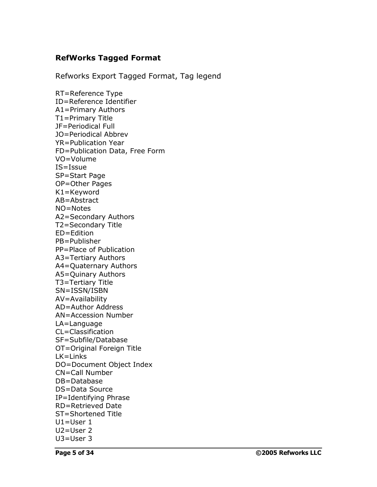#### **RefWorks Tagged Format**

Refworks Export Tagged Format, Tag legend

RT=Reference Type ID=Reference Identifier A1=Primary Authors T1=Primary Title JF=Periodical Full JO=Periodical Abbrev YR=Publication Year FD=Publication Data, Free Form VO=Volume IS=Issue SP=Start Page OP=Other Pages K1=Keyword AB=Abstract NO=Notes A2=Secondary Authors T2=Secondary Title ED=Edition PB=Publisher PP=Place of Publication A3=Tertiary Authors A4=Quaternary Authors A5=Quinary Authors T3=Tertiary Title SN=ISSN/ISBN AV=Availability AD=Author Address AN=Accession Number LA=Language CL=Classification SF=Subfile/Database OT=Original Foreign Title LK=Links DO=Document Object Index CN=Call Number DB=Database DS=Data Source IP=Identifying Phrase RD=Retrieved Date ST=Shortened Title U1=User 1 U2=User 2 U3=User 3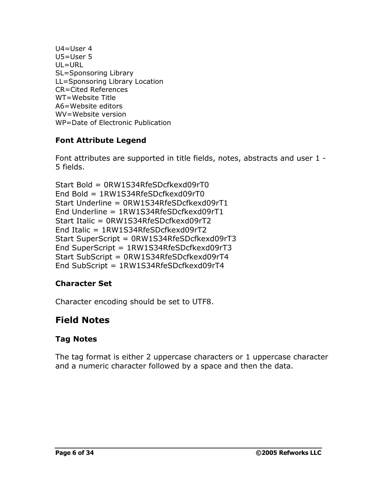U4=User 4 U5=User 5 UL=URL SL=Sponsoring Library LL=Sponsoring Library Location CR=Cited References WT=Website Title A6=Website editors WV=Website version WP=Date of Electronic Publication

## **Font Attribute Legend**

Font attributes are supported in title fields, notes, abstracts and user 1 - 5 fields.

```
Start Bold = 0RW1S34RfeSDcfkexd09rT0
End Bold = 1RW1S34RfeSDcfkexd09rT0
Start Underline = 0RW1S34RfeSDcfkexd09rT1
End Underline = 1RW1S34RfeSDcfkexd09rT1
Start Italic = 0RW1S34RfeSDcfkexd09rT2
End Italic = 1RW1S34RfeSDcfkexd09rT2
Start SuperScript = 0RW1S34RfeSDcfkexd09rT3
End SuperScript = 1RW1S34RfeSDcfkexd09rT3
Start SubScript = 0RW1S34RfeSDcfkexd09rT4
End SubScript = 1RW1S34RfeSDcfkexd09rT4
```
## **Character Set**

Character encoding should be set to UTF8.

## **Field Notes**

## **Tag Notes**

The tag format is either 2 uppercase characters or 1 uppercase character and a numeric character followed by a space and then the data.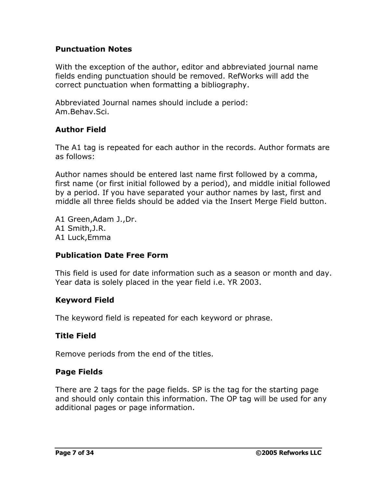#### **Punctuation Notes**

With the exception of the author, editor and abbreviated journal name fields ending punctuation should be removed. RefWorks will add the correct punctuation when formatting a bibliography.

Abbreviated Journal names should include a period: Am.Behav.Sci.

## **Author Field**

The A1 tag is repeated for each author in the records. Author formats are as follows:

Author names should be entered last name first followed by a comma, first name (or first initial followed by a period), and middle initial followed by a period. If you have separated your author names by last, first and middle all three fields should be added via the Insert Merge Field button.

A1 Green,Adam J.,Dr. A1 Smith,J.R. A1 Luck,Emma

## **Publication Date Free Form**

This field is used for date information such as a season or month and day. Year data is solely placed in the year field i.e. YR 2003.

#### **Keyword Field**

The keyword field is repeated for each keyword or phrase.

#### **Title Field**

Remove periods from the end of the titles.

## **Page Fields**

There are 2 tags for the page fields. SP is the tag for the starting page and should only contain this information. The OP tag will be used for any additional pages or page information.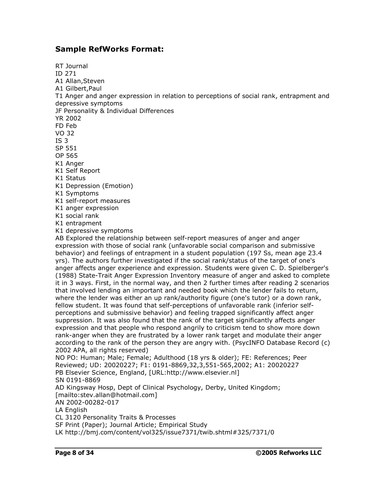#### **Sample RefWorks Format:**

RT Journal ID 271 A1 Allan,Steven A1 Gilbert,Paul T1 Anger and anger expression in relation to perceptions of social rank, entrapment and depressive symptoms JF Personality & Individual Differences YR 2002 FD Feb VO 32 IS 3 SP 551 OP 565 K1 Anger K1 Self Report K1 Status K1 Depression (Emotion) K1 Symptoms K1 self-report measures K1 anger expression K1 social rank K1 entrapment K1 depressive symptoms AB Explored the relationship between self-report measures of anger and anger expression with those of social rank (unfavorable social comparison and submissive behavior) and feelings of entrapment in a student population (197 Ss, mean age 23.4 yrs). The authors further investigated if the social rank/status of the target of one's anger affects anger experience and expression. Students were given C. D. Spielberger's (1988) State-Trait Anger Expression Inventory measure of anger and asked to complete it in 3 ways. First, in the normal way, and then 2 further times after reading 2 scenarios that involved lending an important and needed book which the lender fails to return, where the lender was either an up rank/authority figure (one's tutor) or a down rank, fellow student. It was found that self-perceptions of unfavorable rank (inferior self perceptions and submissive behavior) and feeling trapped significantly affect anger suppression. It was also found that the rank of the target significantly affects anger expression and that people who respond angrily to criticism tend to show more down rank-anger when they are frustrated by a lower rank target and modulate their anger according to the rank of the person they are angry with. (PsycINFO Database Record (c) 2002 APA, all rights reserved) NO PO: Human; Male; Female; Adulthood (18 yrs & older); FE: References; Peer Reviewed; UD: 20020227; F1: 0191-8869,32,3,551-565,2002; A1: 20020227 PB Elsevier Science, England, [URL:http://www.elsevier.nl] SN 0191-8869 AD Kingsway Hosp, Dept of Clinical Psychology, Derby, United Kingdom; [\[mailto:stev.allan@hotmail.com\]](mailto:[mailto:stev.allan@hotmail.com]) AN 2002-00282-017 LA English CL 3120 Personality Traits & Processes SF Print (Paper); Journal Article; Empirical Study

LK [http://bmj.com/content/vol325/issue7371/twib.shtml#325/](http://bmj.com/content/vol325/issue7371/twib.shtml#325/7371/0)7371/0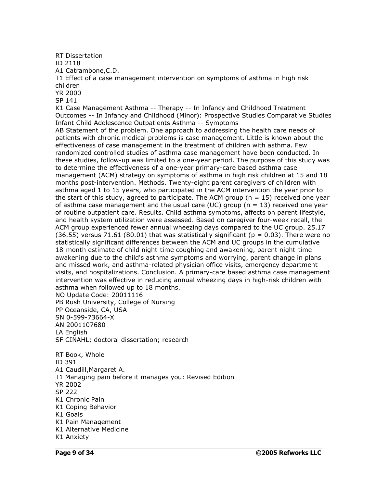RT Dissertation

ID 2118

A1 Catrambone,C.D.

T1 Effect of a case management intervention on symptoms of asthma in high risk children

YR 2000

SP 141

K1 Case Management Asthma -- Therapy -- In Infancy and Childhood Treatment Outcomes -- In Infancy and Childhood (Minor): Prospective Studies Comparative Studies Infant Child Adolescence Outpatients Asthma -- Symptoms

AB Statement of the problem. One approach to addressing the health care needs of patients with chronic medical problems is case management. Little is known about the effectiveness of case management in the treatment of children with asthma. Few randomized controlled studies of asthma case management have been conducted. In these studies, follow-up was limited to a one-year period. The purpose of this study was to determine the effectiveness of a one-year primary-care based asthma case management (ACM) strategy on symptoms of asthma in high risk children at 15 and 18 months post-intervention. Methods. Twenty-eight parent caregivers of children with asthma aged 1 to 15 years, who participated in the ACM intervention the year prior to the start of this study, agreed to participate. The ACM group ( $n = 15$ ) received one year of asthma case management and the usual care (UC) group ( $n = 13$ ) received one year of routine outpatient care. Results. Child asthma symptoms, affects on parent lifestyle, and health system utilization were assessed. Based on caregiver four-week recall, the ACM group experienced fewer annual wheezing days compared to the UC group. 25.17  $(36.55)$  versus 71.61  $(80.01)$  that was statistically significant ( $p = 0.03$ ). There were no statistically significant differences between the ACM and UC groups in the cumulative 18-month estimate of child night-time coughing and awakening, parent night-time awakening due to the child's asthma symptoms and worrying, parent change in plans and missed work, and asthma-related physician office visits, emergency department visits, and hospitalizations. Conclusion. A primary-care based asthma case management intervention was effective in reducing annual wheezing days in high-risk children with asthma when followed up to 18 months.

NO Update Code: 20011116

PB Rush University, College of Nursing

PP Oceanside, CA, USA

SN 0-599-73664-X

AN 2001107680

LA English

SF CINAHL; doctoral dissertation; research

RT Book, Whole ID 391 A1 Caudill,Margaret A. T1 Managing pain before it manages you: Revised Edition YR 2002 SP 222 K1 Chronic Pain K1 Coping Behavior K1 Goals K1 Pain Management K1 Alternative Medicine K1 Anxiety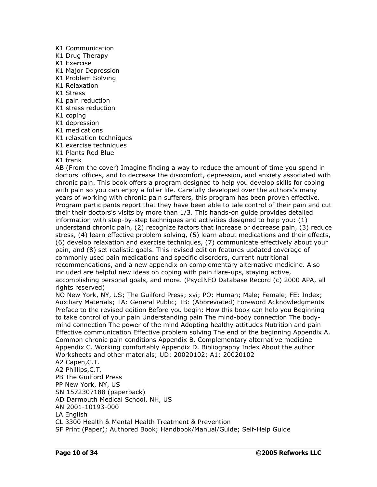- K1 Communication
- K1 Drug Therapy
- K1 Exercise
- K1 Major Depression
- K1 Problem Solving
- K1 Relaxation
- K1 Stress
- K1 pain reduction
- K1 stress reduction
- K1 coping
- K1 depression
- K1 medications
- K1 relaxation techniques
- K1 exercise techniques
- K1 Plants Red Blue
- K1 frank

AB (From the cover) Imagine finding a way to reduce the amount of time you spend in doctors' offices, and to decrease the discomfort, depression, and anxiety associated with chronic pain. This book offers a program designed to help you develop skills for coping with pain so you can enjoy a fuller life. Carefully developed over the authors's many years of working with chronic pain sufferers, this program has been proven effective. Program participants report that they have been able to tale control of their pain and cut their their doctors's visits by more than 1/3. This hands-on guide provides detailed information with step-by-step techniques and activities designed to help you: (1) understand chronic pain, (2) recognize factors that increase or decrease pain, (3) reduce stress, (4) learn effective problem solving, (5) learn about medications and their effects, (6) develop relaxation and exercise techniques, (7) communicate effectively about your pain, and (8) set realistic goals. This revised edition features updated coverage of commonly used pain medications and specific disorders, current nutritional recommendations, and a new appendix on complementary alternative medicine. Also included are helpful new ideas on coping with pain flare-ups, staying active, accomplishing personal goals, and more. (PsycINFO Database Record (c) 2000 APA, all rights reserved)

NO New York, NY, US; The Guilford Press; xvi; PO: Human; Male; Female; FE: Index; Auxiliary Materials; TA: General Public; TB: (Abbreviated) Foreword Acknowledgments Preface to the revised edition Before you begin: How this book can help you Beginning to take control of your pain Understanding pain The mind-body connection The body mind connection The power of the mind Adopting healthy attitudes Nutrition and pain Effective communication Effective problem solving The end of the beginning Appendix A. Common chronic pain conditions Appendix B. Complementary alternative medicine Appendix C. Working comfortably Appendix D. Bibliography Index About the author Worksheets and other materials; UD: 20020102; A1: 20020102

A2 Capen,C.T.

A2 Phillips,C.T. PB The Guilford Press PP New York, NY, US SN 1572307188 (paperback) AD Darmouth Medical School, NH, US AN 2001-10193-000 LA English CL 3300 Health & Mental Health Treatment & Prevention

SF Print (Paper); Authored Book; Handbook/Manual/Guide; Self-Help Guide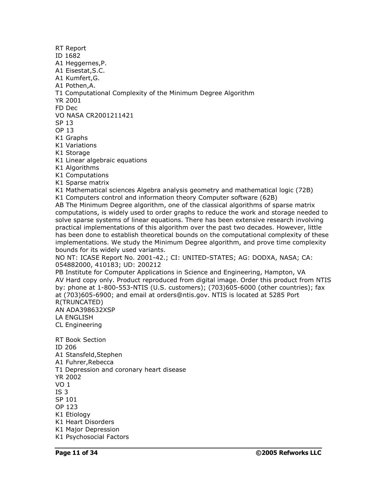ID 1682 A1 Heggernes,P. A1 Eisestat,S.C. A1 Kumfert,G. A1 Pothen,A. T1 Computational Complexity of the Minimum Degree Algorithm YR 2001 FD Dec VO NASA CR2001211421 SP 13 OP 13 K1 Graphs K1 Variations K1 Storage K1 Linear algebraic equations K1 Algorithms K1 Computations K1 Sparse matrix K1 Mathematical sciences Algebra analysis geometry and mathematical logic (72B) K1 Computers control and information theory Computer software (62B) AB The Minimum Degree algorithm, one of the classical algorithms of sparse matrix computations, is widely used to order graphs to reduce the work and storage needed to solve sparse systems of linear equations. There has been extensive research involving practical implementations of this algorithm over the past two decades. However, little has been done to establish theoretical bounds on the computational complexity of these implementations. We study the Minimum Degree algorithm, and prove time complexity bounds for its widely used variants. NO NT: ICASE Report No. 2001-42.; CI: UNITED-STATES; AG: DODXA, NASA; CA: 054882000, 410183; UD: 200212 PB Institute for Computer Applications in Science and Engineering, Hampton, VA AV Hard copy only. Product reproduced from digital image. Order this product from NTIS by: phone at 1-800-553-NTIS (U.S. customers); (703)605-6000 (other countries); fax at (703)605-6900; and email at [orders@ntis.gov.](mailto:orders@ntis.gov.) NTIS is located at 5285 Port R(TRUNCATED) AN ADA398632XSP LA ENGLISH CL Engineering RT Book Section ID 206 A1 Stansfeld,Stephen A1 Fuhrer,Rebecca T1 Depression and coronary heart disease YR 2002 VO 1 IS 3 SP 101 OP 123 K1 Etiology K1 Heart Disorders K1 Major Depression K1 Psychosocial Factors

RT Report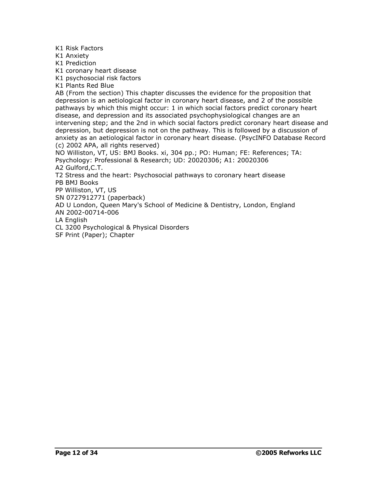K1 Risk Factors

K1 Anxiety

K1 Prediction

K1 coronary heart disease

K1 psychosocial risk factors

K1 Plants Red Blue

AB (From the section) This chapter discusses the evidence for the proposition that depression is an aetiological factor in coronary heart disease, and 2 of the possible pathways by which this might occur: 1 in which social factors predict coronary heart disease, and depression and its associated psychophysiological changes are an intervening step; and the 2nd in which social factors predict coronary heart disease and depression, but depression is not on the pathway. This is followed by a discussion of anxiety as an aetiological factor in coronary heart disease. (PsycINFO Database Record (c) 2002 APA, all rights reserved)

NO Williston, VT, US: BMJ Books. xi, 304 pp.; PO: Human; FE: References; TA: Psychology: Professional & Research; UD: 20020306; A1: 20020306

A2 Gulford,C.T.

T2 Stress and the heart: Psychosocial pathways to coronary heart disease PB BMJ Books

PP Williston, VT, US

SN 0727912771 (paperback)

AD U London, Queen Mary's School of Medicine & Dentistry, London, England

AN 2002-00714-006

LA English

CL 3200 Psychological & Physical Disorders

SF Print (Paper); Chapter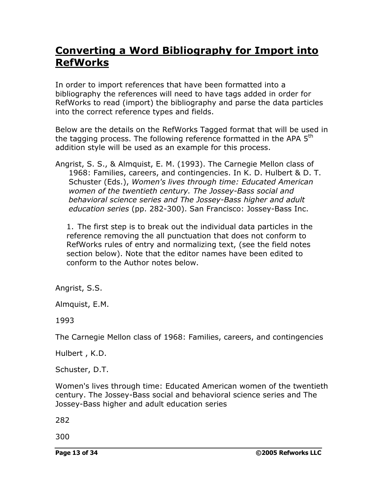## **Converting a Word Bibliography for Import into RefWorks**

In order to import references that have been formatted into a bibliography the references will need to have tags added in order for RefWorks to read (import) the bibliography and parse the data particles into the correct reference types and fields.

Below are the details on the RefWorks Tagged format that will be used in the tagging process. The following reference formatted in the APA 5<sup>th</sup> addition style will be used as an example for this process.

Angrist, S. S., & Almquist, E. M. (1993). The Carnegie Mellon class of 1968: Families, careers, and contingencies. In K. D. Hulbert & D. T. Schuster (Eds.), *Women's lives through time: Educated American women of the twentieth century. The Jossey-Bass social and behavioral science series and The Jossey-Bass higher and adult education series* (pp. 282-300). San Francisco: Jossey-Bass Inc.

1. The first step is to break out the individual data particles in the reference removing the all punctuation that does not conform to RefWorks rules of entry and normalizing text, (see the field notes section below). Note that the editor names have been edited to conform to the Author notes below.

Angrist, S.S.

Almquist, E.M.

#### 1993

The Carnegie Mellon class of 1968: Families, careers, and contingencies

Hulbert , K.D.

Schuster, D.T.

Women's lives through time: Educated American women of the twentieth century. The Jossey-Bass social and behavioral science series and The Jossey-Bass higher and adult education series

282

300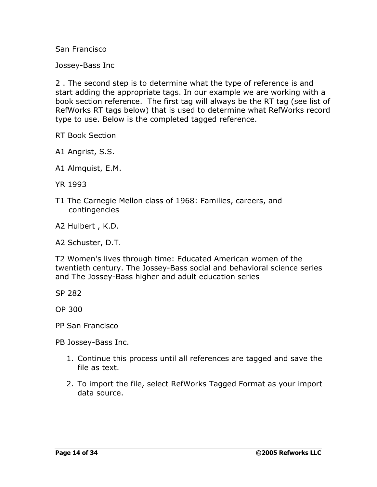San Francisco

Jossey-Bass Inc

2 . The second step is to determine what the type of reference is and start adding the appropriate tags. In our example we are working with a book section reference. The first tag will always be the RT tag (see list of RefWorks RT tags below) that is used to determine what RefWorks record type to use. Below is the completed tagged reference.

RT Book Section

A1 Angrist, S.S.

A1 Almquist, E.M.

YR 1993

T1 The Carnegie Mellon class of 1968: Families, careers, and contingencies

A2 Hulbert , K.D.

A2 Schuster, D.T.

T2 Women's lives through time: Educated American women of the twentieth century. The Jossey-Bass social and behavioral science series and The Jossey-Bass higher and adult education series

SP 282

OP 300

PP San Francisco

PB Jossey-Bass Inc.

- 1. Continue this process until all references are tagged and save the file as text.
- 2. To import the file, select RefWorks Tagged Format as your import data source.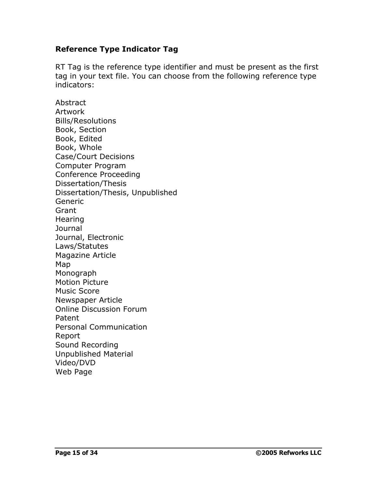#### **Reference Type Indicator Tag**

RT Tag is the reference type identifier and must be present as the first tag in your text file. You can choose from the following reference type indicators:

Abstract Artwork Bills/Resolutions Book, Section Book, Edited Book, Whole Case/Court Decisions Computer Program Conference Proceeding Dissertation/Thesis Dissertation/Thesis, Unpublished Generic Grant **Hearing Journal** Journal, Electronic Laws/Statutes Magazine Article Map Monograph Motion Picture Music Score Newspaper Article Online Discussion Forum Patent Personal Communication Report Sound Recording Unpublished Material Video/DVD Web Page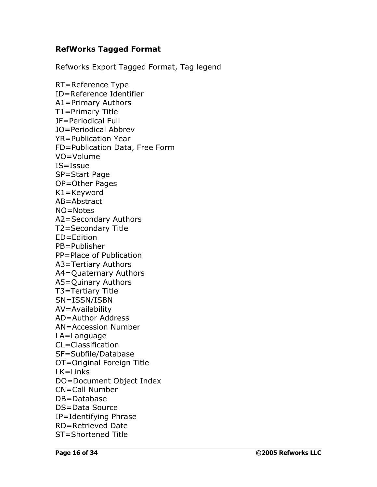#### **RefWorks Tagged Format**

Refworks Export Tagged Format, Tag legend

RT=Reference Type ID=Reference Identifier A1=Primary Authors T1=Primary Title JF=Periodical Full JO=Periodical Abbrev YR=Publication Year FD=Publication Data, Free Form VO=Volume IS=Issue SP=Start Page OP=Other Pages K1=Keyword AB=Abstract NO=Notes A2=Secondary Authors T2=Secondary Title ED=Edition PB=Publisher PP=Place of Publication A3=Tertiary Authors A4=Quaternary Authors A5=Quinary Authors T3=Tertiary Title SN=ISSN/ISBN AV=Availability AD=Author Address AN=Accession Number LA=Language CL=Classification SF=Subfile/Database OT=Original Foreign Title LK=Links DO=Document Object Index CN=Call Number DB=Database DS=Data Source IP=Identifying Phrase RD=Retrieved Date ST=Shortened Title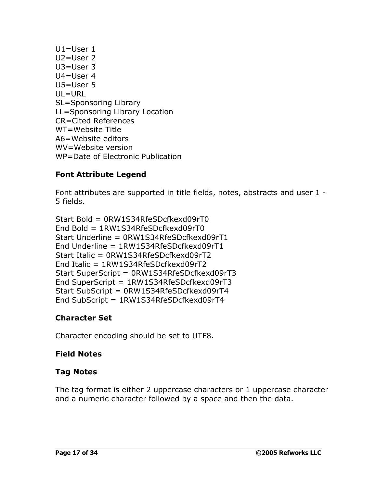U1=User 1 U2=User 2 U3=User 3 U4=User 4 U5=User 5 UL=URL SL=Sponsoring Library LL=Sponsoring Library Location CR=Cited References WT=Website Title A6=Website editors WV=Website version WP=Date of Electronic Publication

## **Font Attribute Legend**

Font attributes are supported in title fields, notes, abstracts and user 1 - 5 fields.

```
Start Bold = 0RW1S34RfeSDcfkexd09rT0
End Bold = 1RW1S34RfeSDcfkexd09rT0
Start Underline = 0RW1S34RfeSDcfkexd09rT1
End Underline = 1RW1S34RfeSDcfkexd09rT1
Start Italic = 0RW1S34RfeSDcfkexd09rT2
End Italic = 1RW1S34RfeSDcfkexd09rT2
Start SuperScript = 0RW1S34RfeSDcfkexd09rT3
End SuperScript = 1RW1S34RfeSDcfkexd09rT3
Start SubScript = 0RW1S34RfeSDcfkexd09rT4
End SubScript = 1RW1S34RfeSDcfkexd09rT4
```
## **Character Set**

Character encoding should be set to UTF8.

## **Field Notes**

## **Tag Notes**

The tag format is either 2 uppercase characters or 1 uppercase character and a numeric character followed by a space and then the data.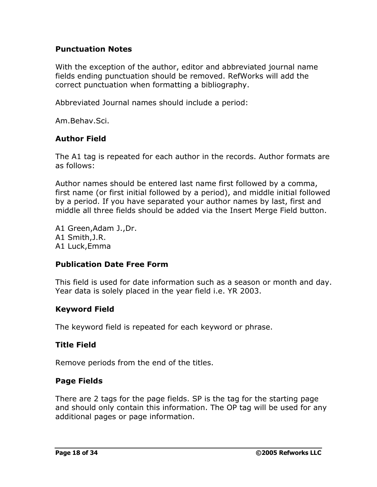#### **Punctuation Notes**

With the exception of the author, editor and abbreviated journal name fields ending punctuation should be removed. RefWorks will add the correct punctuation when formatting a bibliography.

Abbreviated Journal names should include a period:

Am.Behav.Sci.

#### **Author Field**

The A1 tag is repeated for each author in the records. Author formats are as follows:

Author names should be entered last name first followed by a comma, first name (or first initial followed by a period), and middle initial followed by a period. If you have separated your author names by last, first and middle all three fields should be added via the Insert Merge Field button.

A1 Green,Adam J.,Dr. A1 Smith,J.R. A1 Luck,Emma

#### **Publication Date Free Form**

This field is used for date information such as a season or month and day. Year data is solely placed in the year field i.e. YR 2003.

#### **Keyword Field**

The keyword field is repeated for each keyword or phrase.

#### **Title Field**

Remove periods from the end of the titles.

#### **Page Fields**

There are 2 tags for the page fields. SP is the tag for the starting page and should only contain this information. The OP tag will be used for any additional pages or page information.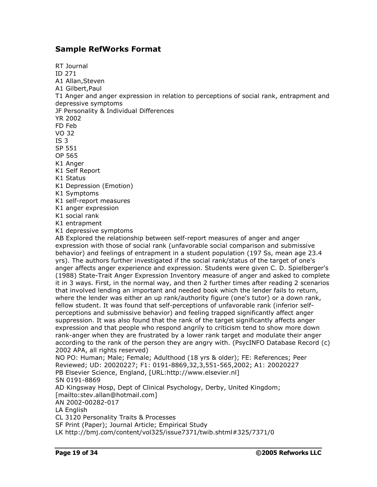#### **Sample RefWorks Format**

RT Journal ID 271 A1 Allan,Steven A1 Gilbert,Paul T1 Anger and anger expression in relation to perceptions of social rank, entrapment and depressive symptoms JF Personality & Individual Differences YR 2002 FD Feb VO 32 IS 3 SP 551 OP 565 K1 Anger K1 Self Report K1 Status K1 Depression (Emotion) K1 Symptoms K1 self-report measures K1 anger expression K1 social rank K1 entrapment K1 depressive symptoms AB Explored the relationship between self-report measures of anger and anger expression with those of social rank (unfavorable social comparison and submissive behavior) and feelings of entrapment in a student population (197 Ss, mean age 23.4 yrs). The authors further investigated if the social rank/status of the target of one's anger affects anger experience and expression. Students were given C. D. Spielberger's (1988) State-Trait Anger Expression Inventory measure of anger and asked to complete it in 3 ways. First, in the normal way, and then 2 further times after reading 2 scenarios that involved lending an important and needed book which the lender fails to return, where the lender was either an up rank/authority figure (one's tutor) or a down rank, fellow student. It was found that self-perceptions of unfavorable rank (inferior self perceptions and submissive behavior) and feeling trapped significantly affect anger suppression. It was also found that the rank of the target significantly affects anger expression and that people who respond angrily to criticism tend to show more down rank-anger when they are frustrated by a lower rank target and modulate their anger according to the rank of the person they are angry with. (PsycINFO Database Record (c) 2002 APA, all rights reserved) NO PO: Human; Male; Female; Adulthood (18 yrs & older); FE: References; Peer Reviewed; UD: 20020227; F1: 0191-8869,32,3,551-565,2002; A1: 20020227 PB Elsevier Science, England, [URL:http://www.elsevier.nl] SN 0191-8869 AD Kingsway Hosp, Dept of Clinical Psychology, Derby, United Kingdom; [\[mailto:stev.allan@hotmail.com\]](mailto:[mailto:stev.allan@hotmail.com]) AN 2002-00282-017 LA English CL 3120 Personality Traits & Processes SF Print (Paper); Journal Article; Empirical Study

LK [http://bmj.com/content/vol325/issue7371/twib.shtml#325/](http://bmj.com/content/vol325/issue7371/twib.shtml#325/7371/0)7371/0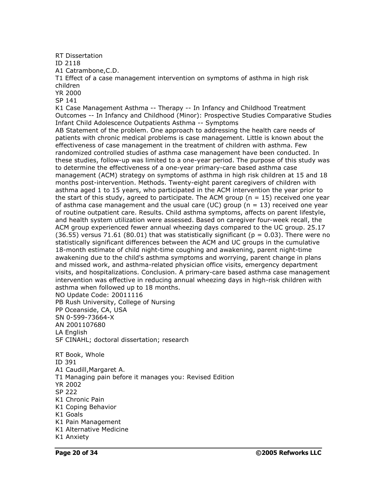RT Dissertation

ID 2118

A1 Catrambone,C.D.

T1 Effect of a case management intervention on symptoms of asthma in high risk children

YR 2000

SP 141

K1 Case Management Asthma -- Therapy -- In Infancy and Childhood Treatment Outcomes -- In Infancy and Childhood (Minor): Prospective Studies Comparative Studies Infant Child Adolescence Outpatients Asthma -- Symptoms

AB Statement of the problem. One approach to addressing the health care needs of patients with chronic medical problems is case management. Little is known about the effectiveness of case management in the treatment of children with asthma. Few randomized controlled studies of asthma case management have been conducted. In these studies, follow-up was limited to a one-year period. The purpose of this study was to determine the effectiveness of a one-year primary-care based asthma case management (ACM) strategy on symptoms of asthma in high risk children at 15 and 18 months post-intervention. Methods. Twenty-eight parent caregivers of children with asthma aged 1 to 15 years, who participated in the ACM intervention the year prior to the start of this study, agreed to participate. The ACM group ( $n = 15$ ) received one year of asthma case management and the usual care (UC) group ( $n = 13$ ) received one year of routine outpatient care. Results. Child asthma symptoms, affects on parent lifestyle, and health system utilization were assessed. Based on caregiver four-week recall, the ACM group experienced fewer annual wheezing days compared to the UC group. 25.17  $(36.55)$  versus 71.61  $(80.01)$  that was statistically significant ( $p = 0.03$ ). There were no statistically significant differences between the ACM and UC groups in the cumulative 18-month estimate of child night-time coughing and awakening, parent night-time awakening due to the child's asthma symptoms and worrying, parent change in plans and missed work, and asthma-related physician office visits, emergency department visits, and hospitalizations. Conclusion. A primary-care based asthma case management intervention was effective in reducing annual wheezing days in high-risk children with asthma when followed up to 18 months.

NO Update Code: 20011116

PB Rush University, College of Nursing

PP Oceanside, CA, USA

SN 0-599-73664-X

AN 2001107680

LA English

SF CINAHL; doctoral dissertation; research

RT Book, Whole ID 391 A1 Caudill,Margaret A. T1 Managing pain before it manages you: Revised Edition YR 2002 SP 222 K1 Chronic Pain K1 Coping Behavior K1 Goals K1 Pain Management K1 Alternative Medicine

K1 Anxiety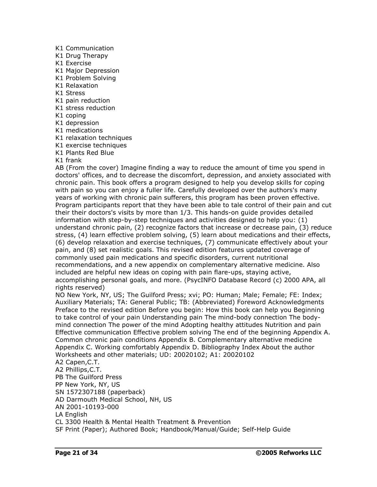- K1 Communication
- K1 Drug Therapy
- K1 Exercise
- K1 Major Depression
- K1 Problem Solving
- K1 Relaxation
- K1 Stress
- K1 pain reduction
- K1 stress reduction
- K1 coping
- K1 depression
- K1 medications
- K1 relaxation techniques
- K1 exercise techniques
- K1 Plants Red Blue
- K1 frank

AB (From the cover) Imagine finding a way to reduce the amount of time you spend in doctors' offices, and to decrease the discomfort, depression, and anxiety associated with chronic pain. This book offers a program designed to help you develop skills for coping with pain so you can enjoy a fuller life. Carefully developed over the authors's many years of working with chronic pain sufferers, this program has been proven effective. Program participants report that they have been able to tale control of their pain and cut their their doctors's visits by more than 1/3. This hands-on guide provides detailed information with step-by-step techniques and activities designed to help you: (1) understand chronic pain, (2) recognize factors that increase or decrease pain, (3) reduce stress, (4) learn effective problem solving, (5) learn about medications and their effects, (6) develop relaxation and exercise techniques, (7) communicate effectively about your pain, and (8) set realistic goals. This revised edition features updated coverage of commonly used pain medications and specific disorders, current nutritional recommendations, and a new appendix on complementary alternative medicine. Also included are helpful new ideas on coping with pain flare-ups, staying active, accomplishing personal goals, and more. (PsycINFO Database Record (c) 2000 APA, all rights reserved)

NO New York, NY, US; The Guilford Press; xvi; PO: Human; Male; Female; FE: Index; Auxiliary Materials; TA: General Public; TB: (Abbreviated) Foreword Acknowledgments Preface to the revised edition Before you begin: How this book can help you Beginning to take control of your pain Understanding pain The mind-body connection The body mind connection The power of the mind Adopting healthy attitudes Nutrition and pain Effective communication Effective problem solving The end of the beginning Appendix A. Common chronic pain conditions Appendix B. Complementary alternative medicine Appendix C. Working comfortably Appendix D. Bibliography Index About the author Worksheets and other materials; UD: 20020102; A1: 20020102

A2 Capen,C.T.

A2 Phillips,C.T. PB The Guilford Press PP New York, NY, US SN 1572307188 (paperback) AD Darmouth Medical School, NH, US AN 2001-10193-000 LA English CL 3300 Health & Mental Health Treatment & Prevention

SF Print (Paper); Authored Book; Handbook/Manual/Guide; Self-Help Guide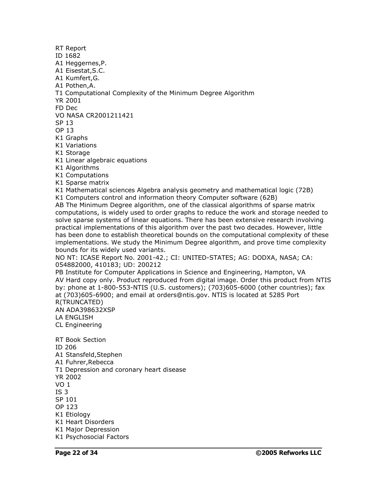ID 1682 A1 Heggernes,P. A1 Eisestat,S.C. A1 Kumfert,G. A1 Pothen,A. T1 Computational Complexity of the Minimum Degree Algorithm YR 2001 FD Dec VO NASA CR2001211421 SP 13 OP 13 K1 Graphs K1 Variations K1 Storage K1 Linear algebraic equations K1 Algorithms K1 Computations K1 Sparse matrix K1 Mathematical sciences Algebra analysis geometry and mathematical logic (72B) K1 Computers control and information theory Computer software (62B) AB The Minimum Degree algorithm, one of the classical algorithms of sparse matrix computations, is widely used to order graphs to reduce the work and storage needed to solve sparse systems of linear equations. There has been extensive research involving practical implementations of this algorithm over the past two decades. However, little has been done to establish theoretical bounds on the computational complexity of these implementations. We study the Minimum Degree algorithm, and prove time complexity bounds for its widely used variants. NO NT: ICASE Report No. 2001-42.; CI: UNITED-STATES; AG: DODXA, NASA; CA: 054882000, 410183; UD: 200212 PB Institute for Computer Applications in Science and Engineering, Hampton, VA AV Hard copy only. Product reproduced from digital image. Order this product from NTIS by: phone at 1-800-553-NTIS (U.S. customers); (703)605-6000 (other countries); fax at (703)605-6900; and email at [orders@ntis.gov.](mailto:orders@ntis.gov.) NTIS is located at 5285 Port R(TRUNCATED) AN ADA398632XSP LA ENGLISH CL Engineering RT Book Section ID 206 A1 Stansfeld,Stephen A1 Fuhrer,Rebecca T1 Depression and coronary heart disease YR 2002 VO 1 IS 3 SP 101 OP 123 K1 Etiology K1 Heart Disorders K1 Major Depression K1 Psychosocial Factors

RT Report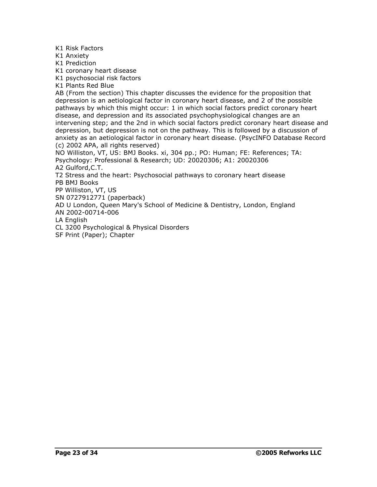K1 Risk Factors

K1 Anxiety

K1 Prediction

K1 coronary heart disease

K1 psychosocial risk factors

K1 Plants Red Blue

AB (From the section) This chapter discusses the evidence for the proposition that depression is an aetiological factor in coronary heart disease, and 2 of the possible pathways by which this might occur: 1 in which social factors predict coronary heart disease, and depression and its associated psychophysiological changes are an intervening step; and the 2nd in which social factors predict coronary heart disease and depression, but depression is not on the pathway. This is followed by a discussion of anxiety as an aetiological factor in coronary heart disease. (PsycINFO Database Record (c) 2002 APA, all rights reserved)

NO Williston, VT, US: BMJ Books. xi, 304 pp.; PO: Human; FE: References; TA: Psychology: Professional & Research; UD: 20020306; A1: 20020306

A2 Gulford,C.T.

T2 Stress and the heart: Psychosocial pathways to coronary heart disease PB BMJ Books

PP Williston, VT, US

SN 0727912771 (paperback)

AD U London, Queen Mary's School of Medicine & Dentistry, London, England

AN 2002-00714-006

LA English

CL 3200 Psychological & Physical Disorders

SF Print (Paper); Chapter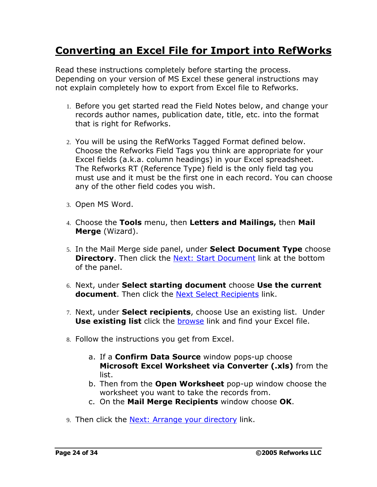## **Converting an Excel File for Import into RefWorks**

Read these instructions completely before starting the process. Depending on your version of MS Excel these general instructions may not explain completely how to export from Excel file to Refworks.

- 1. Before you get started read the Field Notes below, and change your records author names, publication date, title, etc. into the format that is right for Refworks.
- 2. You will be using the RefWorks Tagged Format defined below. Choose the Refworks Field Tags you think are appropriate for your Excel fields (a.k.a. column headings) in your Excel spreadsheet. The Refworks RT (Reference Type) field is the only field tag you must use and it must be the first one in each record. You can choose any of the other field codes you wish.
- 3. Open MS Word.
- 4. Choose the **Tools** menu, then **Letters and Mailings,** then **Mail Merge** (Wizard).
- 5. In the Mail Merge side panel, under **Select Document Type** choose **Directory**. Then click the Next: Start Document link at the bottom of the panel.
- 6. Next, under **Select starting document** choose **Use the current** document. Then click the **Next Select Recipients** link.
- 7. Next, under **Select recipients**, choose Use an existing list. Under **Use existing list** click the browse link and find your Excel file.
- 8. Follow the instructions you get from Excel.
	- a. If a **Confirm Data Source** window pops-up choose **Microsoft Excel Worksheet via Converter (.xls)** from the list.
	- b. Then from the **Open Worksheet** pop-up window choose the worksheet you want to take the records from.
	- c. On the **Mail Merge Recipients** window choose **OK**.
- 9. Then click the Next: Arrange your directory link.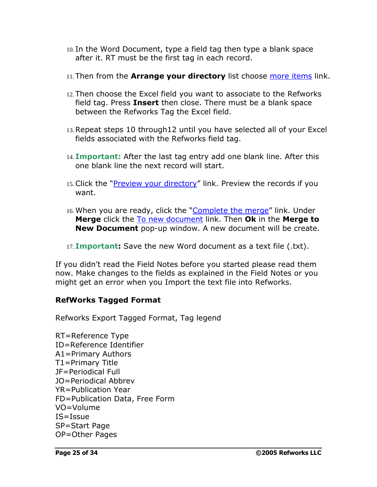- 10. In the Word Document, type a field tag then type a blank space after it. RT must be the first tag in each record.
- 11.Then from the **Arrange your directory** list choose more items link.
- 12.Then choose the Excel field you want to associate to the Refworks field tag. Press **Insert** then close. There must be a blank space between the Refworks Tag the Excel field.
- 13.Repeat steps 10 through12 until you have selected all of your Excel fields associated with the Refworks field tag.
- 14. **Important:** After the last tag entry add one blank line. After this one blank line the next record will start.
- 15. Click the "Preview your directory" link. Preview the records if you want.
- 16. When you are ready, click the "Complete the merge" link. Under **Merge** click the To new document link. Then **Ok** in the **Merge to New Document** pop-up window. A new document will be create.
- 17. **Important:** Save the new Word document as a text file (.txt).

If you didn't read the Field Notes before you started please read them now. Make changes to the fields as explained in the Field Notes or you might get an error when you Import the text file into Refworks.

#### **RefWorks Tagged Format**

Refworks Export Tagged Format, Tag legend

RT=Reference Type ID=Reference Identifier A1=Primary Authors T1=Primary Title JF=Periodical Full JO=Periodical Abbrev YR=Publication Year FD=Publication Data, Free Form VO=Volume IS=Issue SP=Start Page OP=Other Pages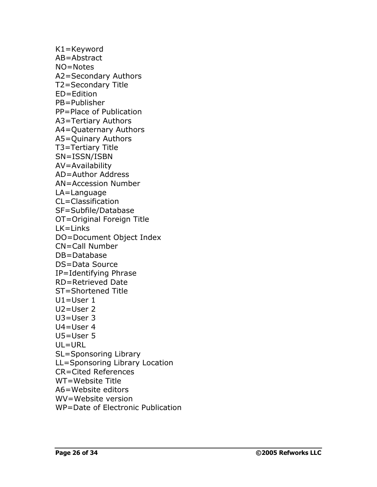K1=Keyword AB=Abstract NO=Notes A2=Secondary Authors T2=Secondary Title ED=Edition PB=Publisher PP=Place of Publication A3=Tertiary Authors A4=Quaternary Authors A5=Quinary Authors T3=Tertiary Title SN=ISSN/ISBN AV=Availability AD=Author Address AN=Accession Number LA=Language CL=Classification SF=Subfile/Database OT=Original Foreign Title LK=Links DO=Document Object Index CN=Call Number DB=Database DS=Data Source IP=Identifying Phrase RD=Retrieved Date ST=Shortened Title U1=User 1 U2=User 2 U3=User 3 U4=User 4 U5=User 5 UL=URL SL=Sponsoring Library LL=Sponsoring Library Location CR=Cited References WT=Website Title A6=Website editors WV=Website version WP=Date of Electronic Publication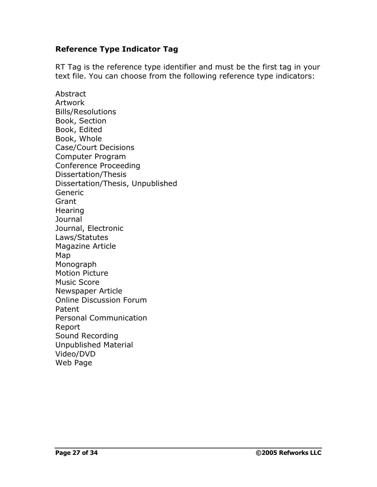#### **Reference Type Indicator Tag**

RT Tag is the reference type identifier and must be the first tag in your text file. You can choose from the following reference type indicators:

Abstract Artwork Bills/Resolutions Book, Section Book, Edited Book, Whole Case/Court Decisions Computer Program Conference Proceeding Dissertation/Thesis Dissertation/Thesis, Unpublished Generic Grant **Hearing** Journal Journal, Electronic Laws/Statutes Magazine Article Map Monograph Motion Picture Music Score Newspaper Article Online Discussion Forum Patent Personal Communication Report Sound Recording Unpublished Material Video/DVD Web Page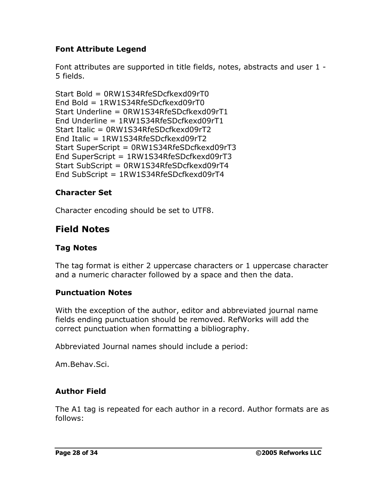## **Font Attribute Legend**

Font attributes are supported in title fields, notes, abstracts and user 1 - 5 fields.

```
Start Bold = 0RW1S34RfeSDcfkexd09rT0
End Bold = 1RW1S34RfeSDcfkexd09rT0
Start Underline = 0RW1S34RfeSDcfkexd09rT1
End Underline = 1RW1S34RfeSDcfkexd09rT1
Start Italic = 0RW1S34RfeSDcfkexd09rT2
End Italic = 1RW1S34RfeSDcfkexd09rT2
Start SuperScript = 0RW1S34RfeSDcfkexd09rT3
End SuperScript = 1RW1S34RfeSDcfkexd09rT3
Start SubScript = 0RW1S34RfeSDcfkexd09rT4
End SubScript = 1RW1S34RfeSDcfkexd09rT4
```
#### **Character Set**

Character encoding should be set to UTF8.

## **Field Notes**

### **Tag Notes**

The tag format is either 2 uppercase characters or 1 uppercase character and a numeric character followed by a space and then the data.

#### **Punctuation Notes**

With the exception of the author, editor and abbreviated journal name fields ending punctuation should be removed. RefWorks will add the correct punctuation when formatting a bibliography.

Abbreviated Journal names should include a period:

Am.Behav.Sci.

## **Author Field**

The A1 tag is repeated for each author in a record. Author formats are as follows: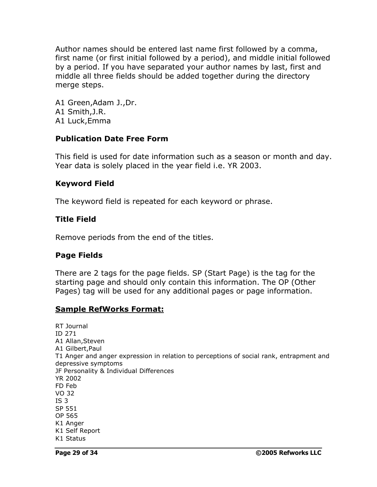Author names should be entered last name first followed by a comma, first name (or first initial followed by a period), and middle initial followed by a period. If you have separated your author names by last, first and middle all three fields should be added together during the directory merge steps.

A1 Green,Adam J.,Dr. A1 Smith,J.R. A1 Luck,Emma

#### **Publication Date Free Form**

This field is used for date information such as a season or month and day. Year data is solely placed in the year field i.e. YR 2003.

#### **Keyword Field**

The keyword field is repeated for each keyword or phrase.

#### **Title Field**

Remove periods from the end of the titles.

## **Page Fields**

There are 2 tags for the page fields. SP (Start Page) is the tag for the starting page and should only contain this information. The OP (Other Pages) tag will be used for any additional pages or page information.

#### **Sample RefWorks Format:**

RT Journal ID 271 A1 Allan,Steven A1 Gilbert,Paul T1 Anger and anger expression in relation to perceptions of social rank, entrapment and depressive symptoms JF Personality & Individual Differences YR 2002 FD Feb VO 32 IS 3 SP 551 OP 565 K1 Anger K1 Self Report K1 Status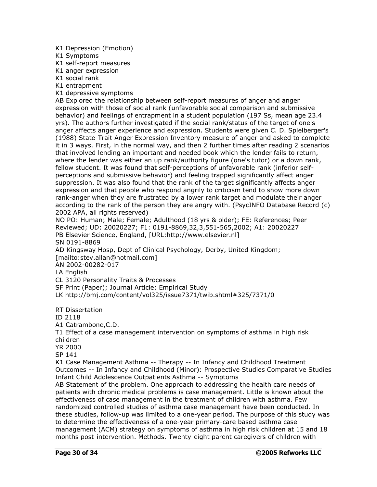- K1 Depression (Emotion)
- K1 Symptoms
- K1 self-report measures
- K1 anger expression
- K1 social rank
- K1 entrapment
- K1 depressive symptoms

AB Explored the relationship between self-report measures of anger and anger expression with those of social rank (unfavorable social comparison and submissive behavior) and feelings of entrapment in a student population (197 Ss, mean age 23.4 yrs). The authors further investigated if the social rank/status of the target of one's anger affects anger experience and expression. Students were given C. D. Spielberger's (1988) State-Trait Anger Expression Inventory measure of anger and asked to complete it in 3 ways. First, in the normal way, and then 2 further times after reading 2 scenarios that involved lending an important and needed book which the lender fails to return, where the lender was either an up rank/authority figure (one's tutor) or a down rank, fellow student. It was found that self-perceptions of unfavorable rank (inferior self perceptions and submissive behavior) and feeling trapped significantly affect anger suppression. It was also found that the rank of the target significantly affects anger expression and that people who respond angrily to criticism tend to show more down rank-anger when they are frustrated by a lower rank target and modulate their anger according to the rank of the person they are angry with. (PsycINFO Database Record (c) 2002 APA, all rights reserved)

NO PO: Human; Male; Female; Adulthood (18 yrs & older); FE: References; Peer Reviewed; UD: 20020227; F1: 0191-8869,32,3,551-565,2002; A1: 20020227 PB Elsevier Science, England, [URL:http://www.elsevier.nl] SN 0191-8869

AD Kingsway Hosp, Dept of Clinical Psychology, Derby, United Kingdom; [\[mailto:stev.allan@hotmail.com\]](mailto:[mailto:stev.allan@hotmail.com])

AN 2002-00282-017

LA English

CL 3120 Personality Traits & Processes

SF Print (Paper); Journal Article; Empirical Study

LK [http://bmj.com/content/vol325/issue7371/twib.shtml#325/](http://bmj.com/content/vol325/issue7371/twib.shtml#325/7371/0)7371/0

RT Dissertation

ID 2118

A1 Catrambone,C.D.

T1 Effect of a case management intervention on symptoms of asthma in high risk children

YR 2000

SP 141

K1 Case Management Asthma -- Therapy -- In Infancy and Childhood Treatment Outcomes -- In Infancy and Childhood (Minor): Prospective Studies Comparative Studies Infant Child Adolescence Outpatients Asthma -- Symptoms

AB Statement of the problem. One approach to addressing the health care needs of patients with chronic medical problems is case management. Little is known about the effectiveness of case management in the treatment of children with asthma. Few randomized controlled studies of asthma case management have been conducted. In these studies, follow-up was limited to a one-year period. The purpose of this study was to determine the effectiveness of a one-year primary-care based asthma case management (ACM) strategy on symptoms of asthma in high risk children at 15 and 18 months post-intervention. Methods. Twenty-eight parent caregivers of children with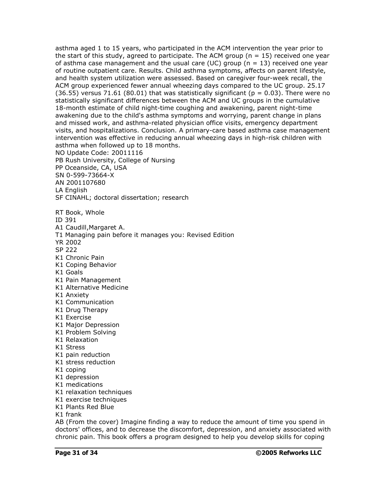asthma aged 1 to 15 years, who participated in the ACM intervention the year prior to the start of this study, agreed to participate. The ACM group ( $n = 15$ ) received one year of asthma case management and the usual care (UC) group ( $n = 13$ ) received one year of routine outpatient care. Results. Child asthma symptoms, affects on parent lifestyle, and health system utilization were assessed. Based on caregiver four-week recall, the ACM group experienced fewer annual wheezing days compared to the UC group. 25.17 (36.55) versus 71.61 (80.01) that was statistically significant ( $p = 0.03$ ). There were no statistically significant differences between the ACM and UC groups in the cumulative 18-month estimate of child night-time coughing and awakening, parent night-time awakening due to the child's asthma symptoms and worrying, parent change in plans and missed work, and asthma-related physician office visits, emergency department visits, and hospitalizations. Conclusion. A primary-care based asthma case management intervention was effective in reducing annual wheezing days in high-risk children with asthma when followed up to 18 months. NO Update Code: 20011116 PB Rush University, College of Nursing PP Oceanside, CA, USA SN 0-599-73664-X AN 2001107680 LA English SF CINAHL; doctoral dissertation; research RT Book, Whole ID 391 A1 Caudill,Margaret A. T1 Managing pain before it manages you: Revised Edition YR 2002 SP 222 K1 Chronic Pain K1 Coping Behavior K1 Goals K1 Pain Management K1 Alternative Medicine K1 Anxiety K1 Communication K1 Drug Therapy K1 Exercise K1 Major Depression K1 Problem Solving K1 Relaxation K1 Stress K1 pain reduction K1 stress reduction K1 coping K1 depression K1 medications K1 relaxation techniques K1 exercise techniques K1 Plants Red Blue K1 frank AB (From the cover) Imagine finding a way to reduce the amount of time you spend in doctors' offices, and to decrease the discomfort, depression, and anxiety associated with chronic pain. This book offers a program designed to help you develop skills for coping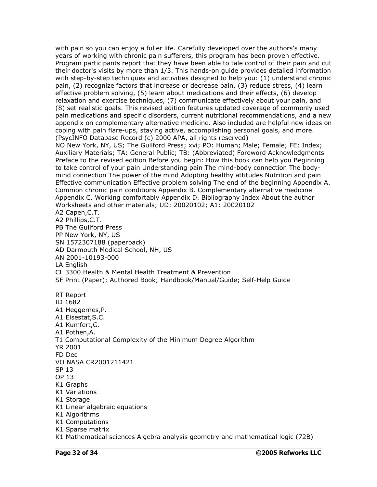with pain so you can enjoy a fuller life. Carefully developed over the authors's many years of working with chronic pain sufferers, this program has been proven effective. Program participants report that they have been able to tale control of their pain and cut their doctor's visits by more than 1/3. This hands-on guide provides detailed information with step-by-step techniques and activities designed to help you: (1) understand chronic pain, (2) recognize factors that increase or decrease pain, (3) reduce stress, (4) learn effective problem solving, (5) learn about medications and their effects, (6) develop relaxation and exercise techniques, (7) communicate effectively about your pain, and (8) set realistic goals. This revised edition features updated coverage of commonly used pain medications and specific disorders, current nutritional recommendations, and a new appendix on complementary alternative medicine. Also included are helpful new ideas on coping with pain flare-ups, staying active, accomplishing personal goals, and more. (PsycINFO Database Record (c) 2000 APA, all rights reserved) NO New York, NY, US; The Guilford Press; xvi; PO: Human; Male; Female; FE: Index; Auxiliary Materials; TA: General Public; TB: (Abbreviated) Foreword Acknowledgments Preface to the revised edition Before you begin: How this book can help you Beginning to take control of your pain Understanding pain The mind-body connection The body mind connection The power of the mind Adopting healthy attitudes Nutrition and pain Effective communication Effective problem solving The end of the beginning Appendix A. Common chronic pain conditions Appendix B. Complementary alternative medicine Appendix C. Working comfortably Appendix D. Bibliography Index About the author Worksheets and other materials; UD: 20020102; A1: 20020102 A2 Capen,C.T. A2 Phillips,C.T. PB The Guilford Press PP New York, NY, US SN 1572307188 (paperback) AD Darmouth Medical School, NH, US AN 2001-10193-000 LA English CL 3300 Health & Mental Health Treatment & Prevention SF Print (Paper); Authored Book; Handbook/Manual/Guide; Self-Help Guide RT Report ID 1682 A1 Heggernes,P. A1 Eisestat,S.C. A1 Kumfert,G. A1 Pothen,A. T1 Computational Complexity of the Minimum Degree Algorithm YR 2001 FD Dec VO NASA CR2001211421 SP 13 OP 13 K1 Graphs K1 Variations K1 Storage K1 Linear algebraic equations K1 Algorithms K1 Computations K1 Sparse matrix K1 Mathematical sciences Algebra analysis geometry and mathematical logic (72B)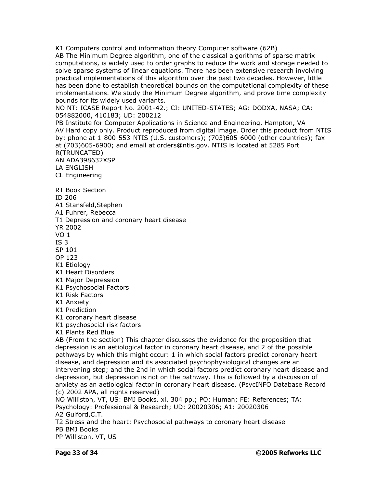K1 Computers control and information theory Computer software (62B) AB The Minimum Degree algorithm, one of the classical algorithms of sparse matrix computations, is widely used to order graphs to reduce the work and storage needed to solve sparse systems of linear equations. There has been extensive research involving practical implementations of this algorithm over the past two decades. However, little has been done to establish theoretical bounds on the computational complexity of these implementations. We study the Minimum Degree algorithm, and prove time complexity bounds for its widely used variants.

NO NT: ICASE Report No. 2001-42.; CI: UNITED-STATES; AG: DODXA, NASA; CA: 054882000, 410183; UD: 200212

PB Institute for Computer Applications in Science and Engineering, Hampton, VA AV Hard copy only. Product reproduced from digital image. Order this product from NTIS by: phone at 1-800-553-NTIS (U.S. customers); (703)605-6000 (other countries); fax at (703)605-6900; and email at [orders@ntis.gov.](mailto:orders@ntis.gov.) NTIS is located at 5285 Port R(TRUNCATED) AN ADA398632XSP

LA ENGLISH

CL Engineering

RT Book Section

ID 206

A1 Stansfeld,Stephen

A1 Fuhrer, Rebecca

T1 Depression and coronary heart disease

YR 2002

VO 1

IS 3

SP 101

OP 123

K1 Etiology

K1 Heart Disorders

K1 Major Depression

K1 Psychosocial Factors

K1 Risk Factors

K1 Anxiety

K1 Prediction

K1 coronary heart disease

K1 psychosocial risk factors

K1 Plants Red Blue

AB (From the section) This chapter discusses the evidence for the proposition that depression is an aetiological factor in coronary heart disease, and 2 of the possible pathways by which this might occur: 1 in which social factors predict coronary heart disease, and depression and its associated psychophysiological changes are an intervening step; and the 2nd in which social factors predict coronary heart disease and depression, but depression is not on the pathway. This is followed by a discussion of anxiety as an aetiological factor in coronary heart disease. (PsycINFO Database Record (c) 2002 APA, all rights reserved)

NO Williston, VT, US: BMJ Books. xi, 304 pp.; PO: Human; FE: References; TA: Psychology: Professional & Research; UD: 20020306; A1: 20020306

A2 Gulford,C.T.

T2 Stress and the heart: Psychosocial pathways to coronary heart disease PB BMJ Books

PP Williston, VT, US